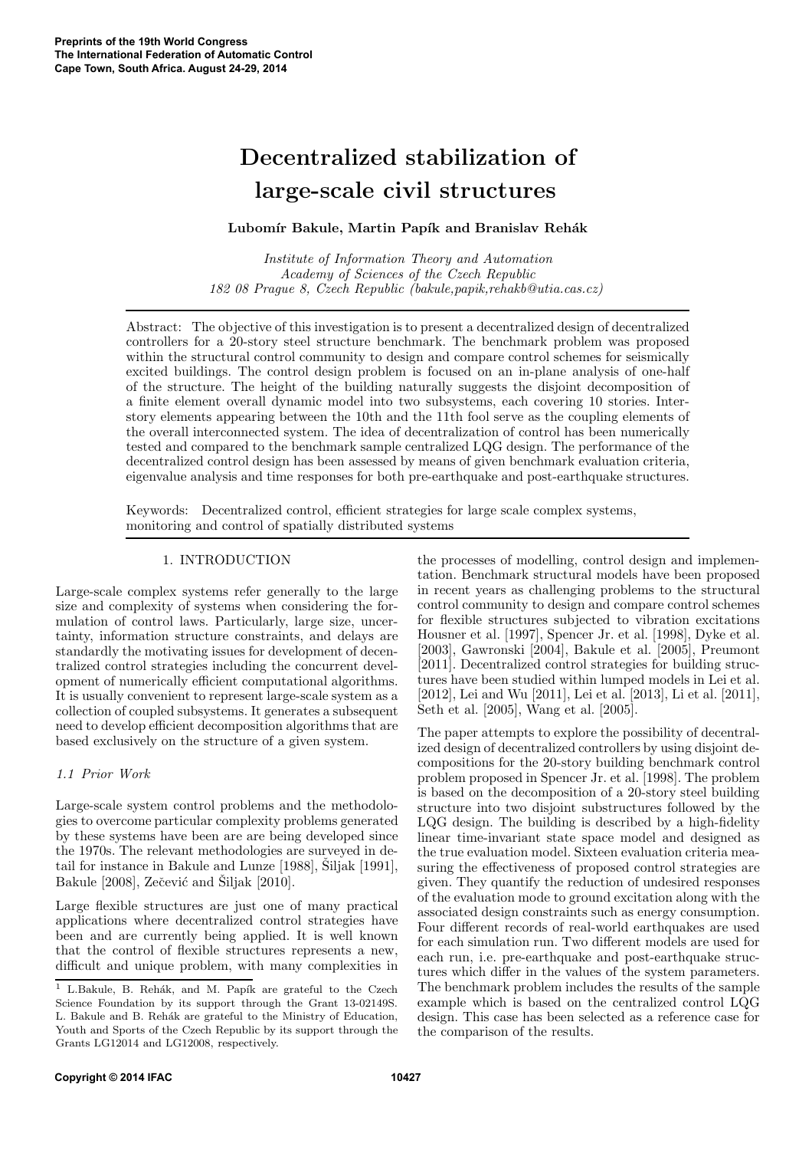# Decentralized stabilization of large-scale civil structures

# Lubomír Bakule, Martin Papík and Branislav Rehák

Institute of Information Theory and Automation Academy of Sciences of the Czech Republic 182 08 Prague 8, Czech Republic (bakule,papik,rehakb@utia.cas.cz)

Abstract: The objective of this investigation is to present a decentralized design of decentralized controllers for a 20-story steel structure benchmark. The benchmark problem was proposed within the structural control community to design and compare control schemes for seismically excited buildings. The control design problem is focused on an in-plane analysis of one-half of the structure. The height of the building naturally suggests the disjoint decomposition of a finite element overall dynamic model into two subsystems, each covering 10 stories. Interstory elements appearing between the 10th and the 11th fool serve as the coupling elements of the overall interconnected system. The idea of decentralization of control has been numerically tested and compared to the benchmark sample centralized LQG design. The performance of the decentralized control design has been assessed by means of given benchmark evaluation criteria, eigenvalue analysis and time responses for both pre-earthquake and post-earthquake structures.

Keywords: Decentralized control, efficient strategies for large scale complex systems, monitoring and control of spatially distributed systems

## 1. INTRODUCTION

Large-scale complex systems refer generally to the large size and complexity of systems when considering the formulation of control laws. Particularly, large size, uncertainty, information structure constraints, and delays are standardly the motivating issues for development of decentralized control strategies including the concurrent development of numerically efficient computational algorithms. It is usually convenient to represent large-scale system as a collection of coupled subsystems. It generates a subsequent need to develop efficient decomposition algorithms that are based exclusively on the structure of a given system.

# 1.1 Prior Work

Large-scale system control problems and the methodologies to overcome particular complexity problems generated by these systems have been are are being developed since the 1970s. The relevant methodologies are surveyed in detail for instance in Bakule and Lunze  $[1988]$ , Siljak  $[1991]$ , Bakule  $[2008]$ , Zečević and Šiljak  $[2010]$ .

Large flexible structures are just one of many practical applications where decentralized control strategies have been and are currently being applied. It is well known that the control of flexible structures represents a new, difficult and unique problem, with many complexities in

the processes of modelling, control design and implementation. Benchmark structural models have been proposed in recent years as challenging problems to the structural control community to design and compare control schemes for flexible structures subjected to vibration excitations Housner et al. [1997], Spencer Jr. et al. [1998], Dyke et al. [2003], Gawronski [2004], Bakule et al. [2005], Preumont [2011]. Decentralized control strategies for building structures have been studied within lumped models in Lei et al. [2012], Lei and Wu [2011], Lei et al. [2013], Li et al. [2011], Seth et al. [2005], Wang et al. [2005].

The paper attempts to explore the possibility of decentralized design of decentralized controllers by using disjoint decompositions for the 20-story building benchmark control problem proposed in Spencer Jr. et al. [1998]. The problem is based on the decomposition of a 20-story steel building structure into two disjoint substructures followed by the LQG design. The building is described by a high-fidelity linear time-invariant state space model and designed as the true evaluation model. Sixteen evaluation criteria measuring the effectiveness of proposed control strategies are given. They quantify the reduction of undesired responses of the evaluation mode to ground excitation along with the associated design constraints such as energy consumption. Four different records of real-world earthquakes are used for each simulation run. Two different models are used for each run, i.e. pre-earthquake and post-earthquake structures which differ in the values of the system parameters. The benchmark problem includes the results of the sample example which is based on the centralized control LQG design. This case has been selected as a reference case for the comparison of the results.

 $1$  L.Bakule, B. Rehák, and M. Papík are grateful to the Czech Science Foundation by its support through the Grant 13-02149S. L. Bakule and B. Rehák are grateful to the Ministry of Education, Youth and Sports of the Czech Republic by its support through the Grants LG12014 and LG12008, respectively.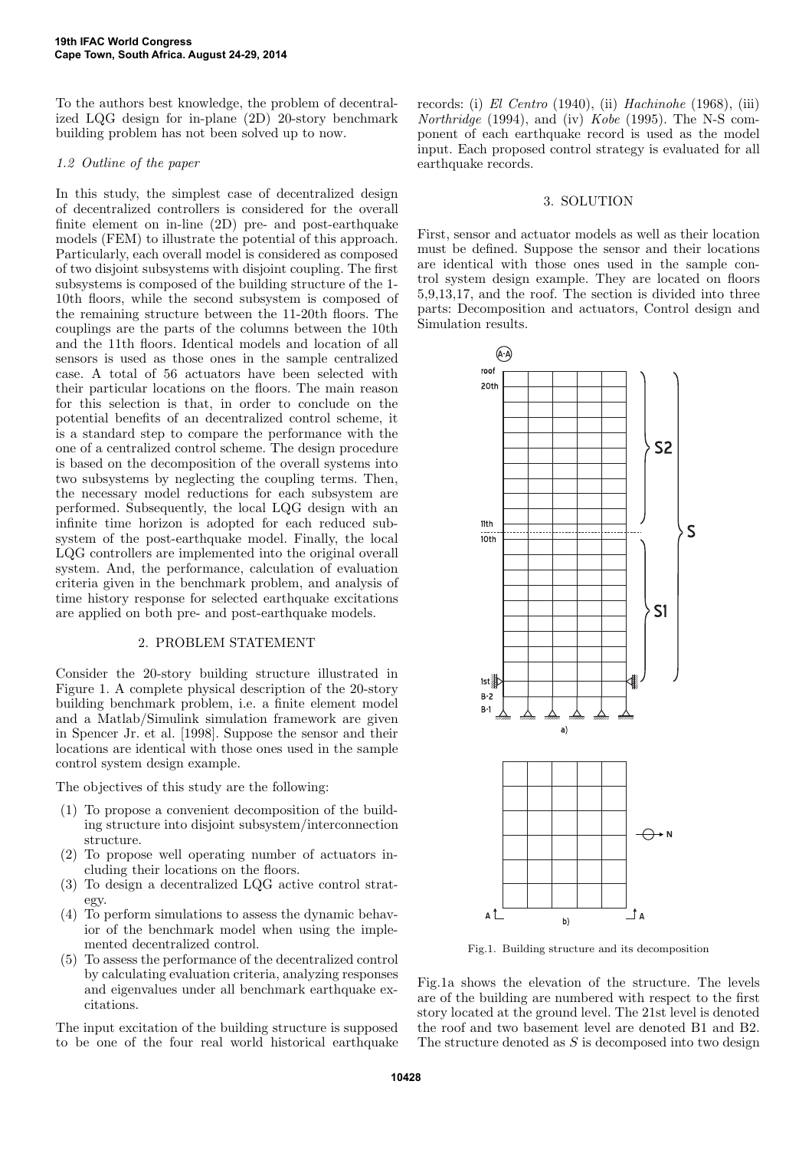To the authors best knowledge, the problem of decentralized LQG design for in-plane (2D) 20-story benchmark building problem has not been solved up to now.

### 1.2 Outline of the paper

In this study, the simplest case of decentralized design of decentralized controllers is considered for the overall finite element on in-line (2D) pre- and post-earthquake models (FEM) to illustrate the potential of this approach. Particularly, each overall model is considered as composed of two disjoint subsystems with disjoint coupling. The first subsystems is composed of the building structure of the 1- 10th floors, while the second subsystem is composed of the remaining structure between the 11-20th floors. The couplings are the parts of the columns between the 10th and the 11th floors. Identical models and location of all sensors is used as those ones in the sample centralized case. A total of 56 actuators have been selected with their particular locations on the floors. The main reason for this selection is that, in order to conclude on the potential benefits of an decentralized control scheme, it is a standard step to compare the performance with the one of a centralized control scheme. The design procedure is based on the decomposition of the overall systems into two subsystems by neglecting the coupling terms. Then, the necessary model reductions for each subsystem are performed. Subsequently, the local LQG design with an infinite time horizon is adopted for each reduced subsystem of the post-earthquake model. Finally, the local LQG controllers are implemented into the original overall system. And, the performance, calculation of evaluation criteria given in the benchmark problem, and analysis of time history response for selected earthquake excitations are applied on both pre- and post-earthquake models.

#### 2. PROBLEM STATEMENT

Consider the 20-story building structure illustrated in Figure 1. A complete physical description of the 20-story building benchmark problem, i.e. a finite element model and a Matlab/Simulink simulation framework are given in Spencer Jr. et al. [1998]. Suppose the sensor and their locations are identical with those ones used in the sample control system design example.

The objectives of this study are the following:

- (1) To propose a convenient decomposition of the building structure into disjoint subsystem/interconnection structure.
- (2) To propose well operating number of actuators including their locations on the floors.
- (3) To design a decentralized LQG active control strategy.
- (4) To perform simulations to assess the dynamic behavior of the benchmark model when using the implemented decentralized control.
- (5) To assess the performance of the decentralized control by calculating evaluation criteria, analyzing responses and eigenvalues under all benchmark earthquake excitations.

The input excitation of the building structure is supposed to be one of the four real world historical earthquake records: (i) El Centro (1940), (ii) Hachinohe (1968), (iii) Northridge (1994), and (iv) Kobe (1995). The N-S component of each earthquake record is used as the model input. Each proposed control strategy is evaluated for all earthquake records.

#### 3. SOLUTION

First, sensor and actuator models as well as their location must be defined. Suppose the sensor and their locations are identical with those ones used in the sample control system design example. They are located on floors 5,9,13,17, and the roof. The section is divided into three parts: Decomposition and actuators, Control design and Simulation results.



Fig.1. Building structure and its decomposition

Fig.1a shows the elevation of the structure. The levels are of the building are numbered with respect to the first story located at the ground level. The 21st level is denoted the roof and two basement level are denoted B1 and B2. The structure denoted as  $S$  is decomposed into two design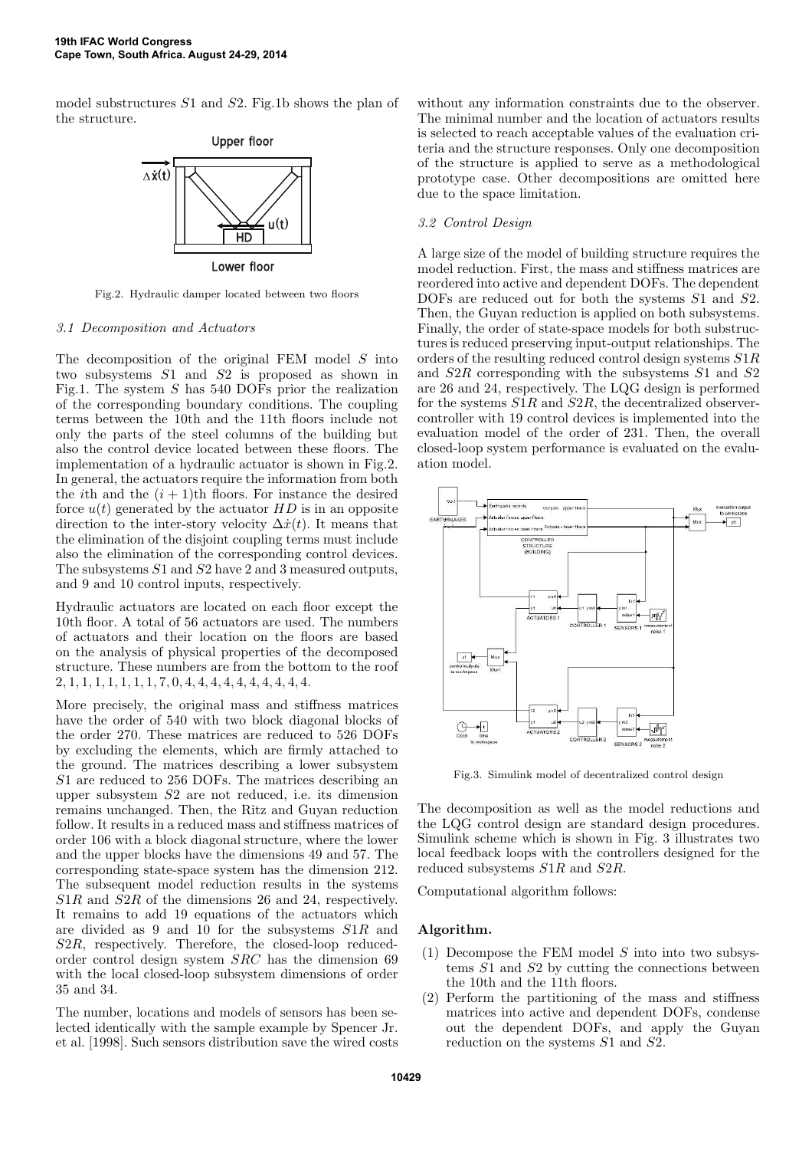model substructures S1 and S2. Fig.1b shows the plan of the structure.



Fig.2. Hydraulic damper located between two floors

#### 3.1 Decomposition and Actuators

The decomposition of the original FEM model S into two subsystems S1 and S2 is proposed as shown in Fig.1. The system  $S$  has 540 DOFs prior the realization of the corresponding boundary conditions. The coupling terms between the 10th and the 11th floors include not only the parts of the steel columns of the building but also the control device located between these floors. The implementation of a hydraulic actuator is shown in Fig.2. In general, the actuators require the information from both the *i*th and the  $(i + 1)$ <sup>th</sup> floors. For instance the desired force  $u(t)$  generated by the actuator  $HD$  is in an opposite direction to the inter-story velocity  $\Delta \dot{x}(t)$ . It means that the elimination of the disjoint coupling terms must include also the elimination of the corresponding control devices. The subsystems S1 and S2 have 2 and 3 measured outputs, and 9 and 10 control inputs, respectively.

Hydraulic actuators are located on each floor except the 10th floor. A total of 56 actuators are used. The numbers of actuators and their location on the floors are based on the analysis of physical properties of the decomposed structure. These numbers are from the bottom to the roof 2, 1, 1, 1, 1, 1, 1, 1, 7, 0, 4, 4, 4, 4, 4, 4, 4, 4, 4, 4.

More precisely, the original mass and stiffness matrices have the order of 540 with two block diagonal blocks of the order 270. These matrices are reduced to 526 DOFs by excluding the elements, which are firmly attached to the ground. The matrices describing a lower subsystem S1 are reduced to 256 DOFs. The matrices describing an upper subsystem S2 are not reduced, i.e. its dimension remains unchanged. Then, the Ritz and Guyan reduction follow. It results in a reduced mass and stiffness matrices of order 106 with a block diagonal structure, where the lower and the upper blocks have the dimensions 49 and 57. The corresponding state-space system has the dimension 212. The subsequent model reduction results in the systems S1R and S2R of the dimensions 26 and 24, respectively. It remains to add 19 equations of the actuators which are divided as 9 and 10 for the subsystems S1R and S2R, respectively. Therefore, the closed-loop reducedorder control design system SRC has the dimension 69 with the local closed-loop subsystem dimensions of order 35 and 34.

The number, locations and models of sensors has been selected identically with the sample example by Spencer Jr. et al. [1998]. Such sensors distribution save the wired costs without any information constraints due to the observer. The minimal number and the location of actuators results is selected to reach acceptable values of the evaluation criteria and the structure responses. Only one decomposition of the structure is applied to serve as a methodological prototype case. Other decompositions are omitted here due to the space limitation.

#### 3.2 Control Design

A large size of the model of building structure requires the model reduction. First, the mass and stiffness matrices are reordered into active and dependent DOFs. The dependent DOFs are reduced out for both the systems  $S1$  and  $S2$ . Then, the Guyan reduction is applied on both subsystems. Finally, the order of state-space models for both substructures is reduced preserving input-output relationships. The orders of the resulting reduced control design systems S1R and S2R corresponding with the subsystems S1 and S2 are 26 and 24, respectively. The LQG design is performed for the systems  $S1R$  and  $S2R$ , the decentralized observercontroller with 19 control devices is implemented into the evaluation model of the order of 231. Then, the overall closed-loop system performance is evaluated on the evaluation model.



Fig.3. Simulink model of decentralized control design

The decomposition as well as the model reductions and the LQG control design are standard design procedures. Simulink scheme which is shown in Fig. 3 illustrates two local feedback loops with the controllers designed for the reduced subsystems S1R and S2R.

Computational algorithm follows:

#### Algorithm.

- $(1)$  Decompose the FEM model S into into two subsystems  $S1$  and  $S2$  by cutting the connections between the 10th and the 11th floors.
- (2) Perform the partitioning of the mass and stiffness matrices into active and dependent DOFs, condense out the dependent DOFs, and apply the Guyan reduction on the systems S1 and S2.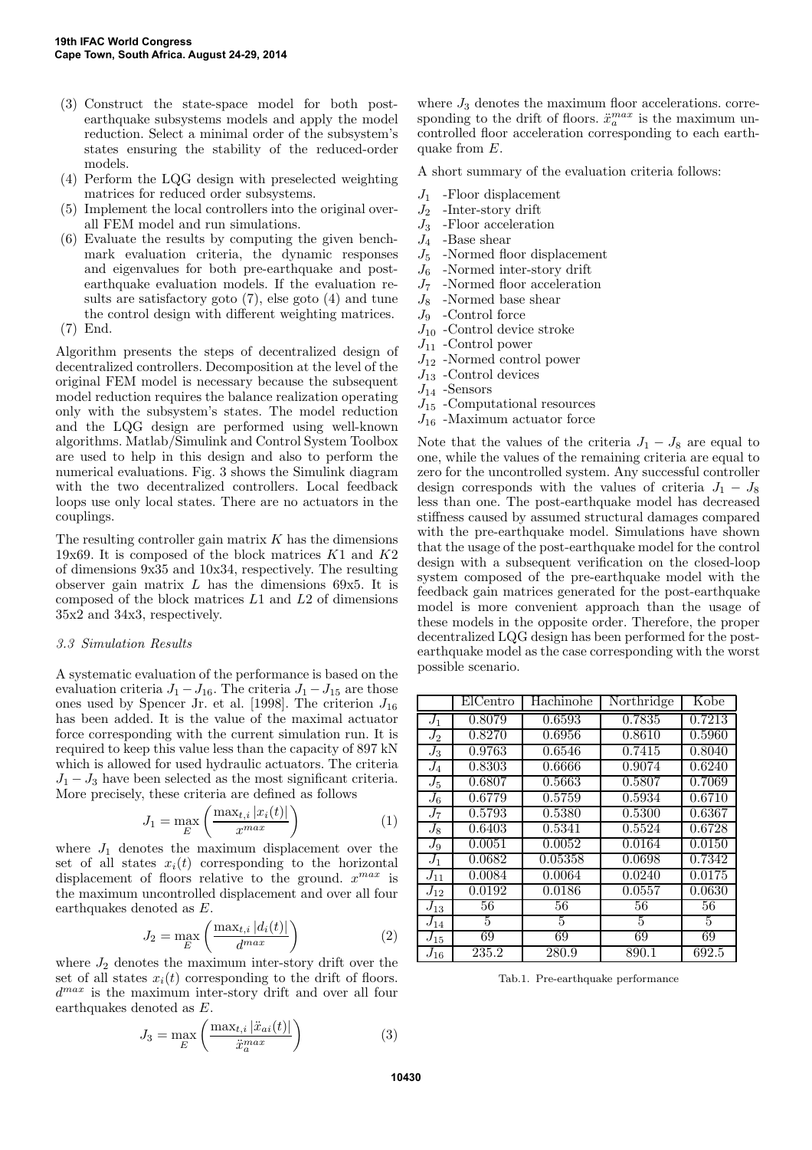- (3) Construct the state-space model for both postearthquake subsystems models and apply the model reduction. Select a minimal order of the subsystem's states ensuring the stability of the reduced-order models.
- (4) Perform the LQG design with preselected weighting matrices for reduced order subsystems.
- (5) Implement the local controllers into the original overall FEM model and run simulations.
- (6) Evaluate the results by computing the given benchmark evaluation criteria, the dynamic responses and eigenvalues for both pre-earthquake and postearthquake evaluation models. If the evaluation results are satisfactory goto (7), else goto (4) and tune the control design with different weighting matrices.
- (7) End.

Algorithm presents the steps of decentralized design of decentralized controllers. Decomposition at the level of the original FEM model is necessary because the subsequent model reduction requires the balance realization operating only with the subsystem's states. The model reduction and the LQG design are performed using well-known algorithms. Matlab/Simulink and Control System Toolbox are used to help in this design and also to perform the numerical evaluations. Fig. 3 shows the Simulink diagram with the two decentralized controllers. Local feedback loops use only local states. There are no actuators in the couplings.

The resulting controller gain matrix  $K$  has the dimensions 19x69. It is composed of the block matrices  $K1$  and  $K2$ of dimensions 9x35 and 10x34, respectively. The resulting observer gain matrix  $L$  has the dimensions 69x5. It is composed of the block matrices  $L1$  and  $L2$  of dimensions 35x2 and 34x3, respectively.

## 3.3 Simulation Results

A systematic evaluation of the performance is based on the evaluation criteria  $J_1 - J_{16}$ . The criteria  $J_1 - J_{15}$  are those ones used by Spencer Jr. et al. [1998]. The criterion  $J_{16}$ has been added. It is the value of the maximal actuator force corresponding with the current simulation run. It is required to keep this value less than the capacity of 897 kN which is allowed for used hydraulic actuators. The criteria  $J_1 - J_3$  have been selected as the most significant criteria. More precisely, these criteria are defined as follows

$$
J_1 = \max_{E} \left( \frac{\max_{t,i} |x_i(t)|}{x^{max}} \right) \tag{1}
$$

where  $J_1$  denotes the maximum displacement over the set of all states  $x_i(t)$  corresponding to the horizontal displacement of floors relative to the ground.  $x^{max}$  is the maximum uncontrolled displacement and over all four earthquakes denoted as  $E$ .

$$
J_2 = \max_{E} \left( \frac{\max_{t,i} |d_i(t)|}{d^{\max}} \right) \tag{2}
$$

where  $J_2$  denotes the maximum inter-story drift over the set of all states  $x_i(t)$  corresponding to the drift of floors. d max is the maximum inter-story drift and over all four earthquakes denoted as E.

$$
J_3 = \max_{E} \left( \frac{\max_{t,i} |\ddot{x}_{ai}(t)|}{\ddot{x}_a^{max}} \right) \tag{3}
$$

where  $J_3$  denotes the maximum floor accelerations. corresponding to the drift of floors.  $\ddot{x}_a^{max}$  is the maximum uncontrolled floor acceleration corresponding to each earthquake from  $E$ .

A short summary of the evaluation criteria follows:

- $J_1$  -Floor displacement
- $J_2$  -Inter-story drift
- 
- $J_3$  -Floor acceleration<br> $J_4$  -Base shear -Base shear
- $J_5$  -Normed floor displacement
- $J_6$  -Normed inter-story drift
- $J_7$  -Normed floor acceleration
- $J_8$  -Normed base shear
- $J_9$  -Control force
- $J_{10}$  -Control device stroke
- $J_{11}$  -Control power
- $J_{12}$  -Normed control power
- $J_{13}$  -Control devices
- $J_{14}$  -Sensors
- $J_{15}$  -Computational resources
- $J_{16}$  -Maximum actuator force

Note that the values of the criteria  $J_1 - J_8$  are equal to one, while the values of the remaining criteria are equal to zero for the uncontrolled system. Any successful controller design corresponds with the values of criteria  $J_1 - J_8$ less than one. The post-earthquake model has decreased stiffness caused by assumed structural damages compared with the pre-earthquake model. Simulations have shown that the usage of the post-earthquake model for the control design with a subsequent verification on the closed-loop system composed of the pre-earthquake model with the feedback gain matrices generated for the post-earthquake model is more convenient approach than the usage of these models in the opposite order. Therefore, the proper decentralized LQG design has been performed for the postearthquake model as the case corresponding with the worst possible scenario.

|          | ElCentro | Hachinohe | Northridge | Kobe   |
|----------|----------|-----------|------------|--------|
| $J_1$    | 0.8079   | 0.6593    | 0.7835     | 0.7213 |
| $J_2$    | 0.8270   | 0.6956    | 0.8610     | 0.5960 |
| $J_3$    | 0.9763   | 0.6546    | 0.7415     | 0.8040 |
| $J_4$    | 0.8303   | 0.6666    | 0.9074     | 0.6240 |
| $J_5$    | 0.6807   | 0.5663    | 0.5807     | 0.7069 |
| $J_6$    | 0.6779   | 0.5759    | 0.5934     | 0.6710 |
| $J_7$    | 0.5793   | 0.5380    | 0.5300     | 0.6367 |
| $J_8$    | 0.6403   | 0.5341    | 0.5524     | 0.6728 |
| $J_9$    | 0.0051   | 0.0052    | 0.0164     | 0.0150 |
| $J_1$    | 0.0682   | 0.05358   | 0.0698     | 0.7342 |
| $J_{11}$ | 0.0084   | 0.0064    | 0.0240     | 0.0175 |
| $J_{12}$ | 0.0192   | 0.0186    | 0.0557     | 0.0630 |
| $J_{13}$ | 56       | 56        | 56         | 56     |
| $J_{14}$ | 5        | 5         | 5          | 5      |
| $J_{15}$ | 69       | 69        | 69         | 69     |
| $J_{16}$ | 235.2    | 280.9     | 890.1      | 692.5  |

Tab.1. Pre-earthquake performance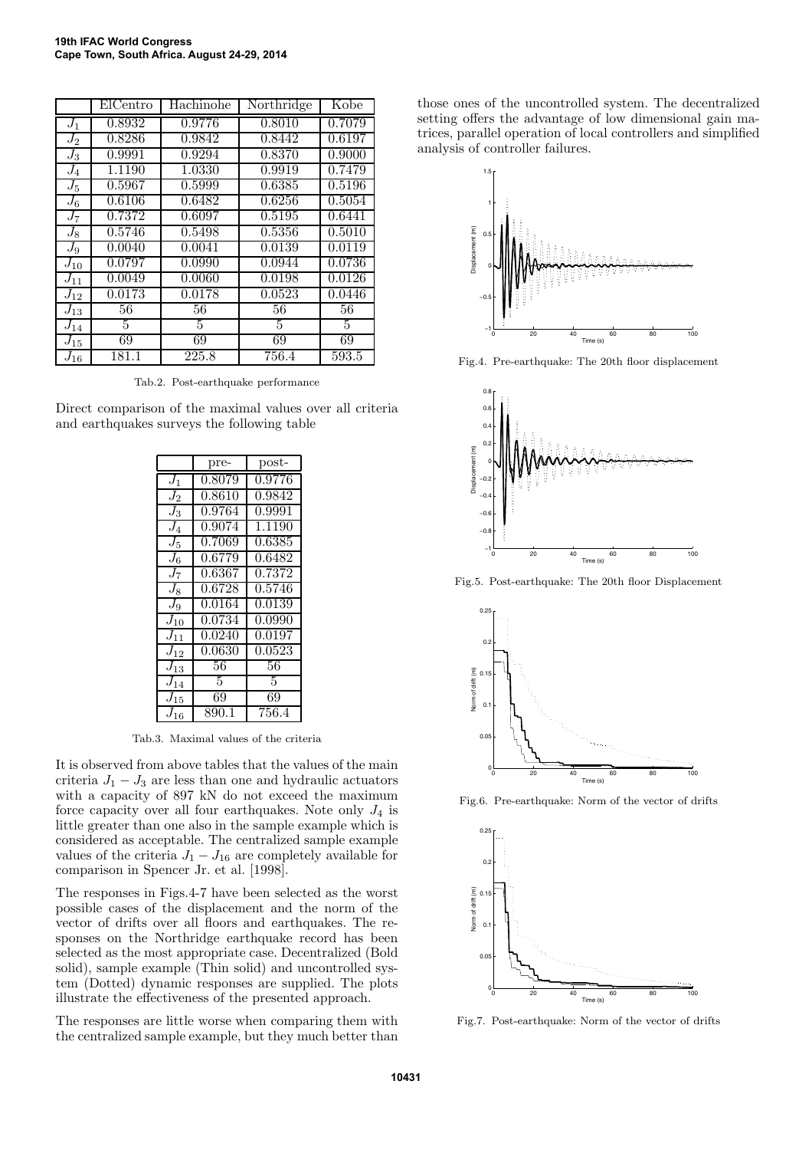|          | ElCentro | Hachinohe | Northridge | Kobe   |
|----------|----------|-----------|------------|--------|
| $J_1$    | 0.8932   | 0.9776    | 0.8010     | 0.7079 |
| $J_2$    | 0.8286   | 0.9842    | 0.8442     | 0.6197 |
| $J_3$    | 0.9991   | 0.9294    | 0.8370     | 0.9000 |
| $J_4$    | 1.1190   | 1.0330    | 0.9919     | 0.7479 |
| $J_5$    | 0.5967   | 0.5999    | 0.6385     | 0.5196 |
| $J_6$    | 0.6106   | 0.6482    | 0.6256     | 0.5054 |
| $J_7$    | 0.7372   | 0.6097    | 0.5195     | 0.6441 |
| $J_8$    | 0.5746   | 0.5498    | 0.5356     | 0.5010 |
| $J_9$    | 0.0040   | 0.0041    | 0.0139     | 0.0119 |
| $J_{10}$ | 0.0797   | 0.0990    | 0.0944     | 0.0736 |
| $J_{11}$ | 0.0049   | 0.0060    | 0.0198     | 0.0126 |
| $J_{12}$ | 0.0173   | 0.0178    | 0.0523     | 0.0446 |
| $J_{13}$ | 56       | 56        | 56         | 56     |
| $J_{14}$ | 5        | 5         | 5          | 5      |
| $J_{15}$ | 69       | 69        | 69         | 69     |
| $J_{16}$ | 181.1    | 225.8     | 756.4      | 593.5  |

Tab.2. Post-earthquake performance

Direct comparison of the maximal values over all criteria and earthquakes surveys the following table

|                  | pre-            | post-  |
|------------------|-----------------|--------|
| $J_1$            | 0.8079          | 0.9776 |
| $\overline{J_2}$ | 0.8610          | 0.9842 |
| $J_3$            | 0.9764          | 0.9991 |
| $\mathrm{J}_4$   | 0.9074          | 1.1190 |
| $\overline{J_5}$ | 0.7069          | 0.6385 |
| $\mathrm{J}_6$   | 0.6779          | 0.6482 |
| $J_7$            | 0.6367          | 0.7372 |
| $J_8$            | 0.6728          | 0.5746 |
| $J_9$            | 0.0164          | 0.0139 |
| $J_{10}$         | 0.0734          | 0.0990 |
| $J_{11}$         | 0.0240          | 0.0197 |
| $J_{12}$         | 0.0630          | 0.0523 |
| $J_{13}$         | 56              | 56     |
| $J_{14}$         | 5               | 5      |
| $J_{15}$         | $6\overline{9}$ | 69     |
| $J_{16}$         | 890.1           | 756.4  |

Tab.3. Maximal values of the criteria

It is observed from above tables that the values of the main criteria  $J_1 - J_3$  are less than one and hydraulic actuators with a capacity of 897 kN do not exceed the maximum force capacity over all four earthquakes. Note only  $J_4$  is little greater than one also in the sample example which is considered as acceptable. The centralized sample example values of the criteria  $J_1 - J_{16}$  are completely available for comparison in Spencer Jr. et al. [1998].

The responses in Figs.4-7 have been selected as the worst possible cases of the displacement and the norm of the vector of drifts over all floors and earthquakes. The responses on the Northridge earthquake record has been selected as the most appropriate case. Decentralized (Bold solid), sample example (Thin solid) and uncontrolled system (Dotted) dynamic responses are supplied. The plots illustrate the effectiveness of the presented approach.

The responses are little worse when comparing them with the centralized sample example, but they much better than

those ones of the uncontrolled system. The decentralized setting offers the advantage of low dimensional gain matrices, parallel operation of local controllers and simplified analysis of controller failures.



Fig.4. Pre-earthquake: The 20th floor displacement



Fig.5. Post-earthquake: The 20th floor Displacement



Fig.6. Pre-earthquake: Norm of the vector of drifts



Fig.7. Post-earthquake: Norm of the vector of drifts